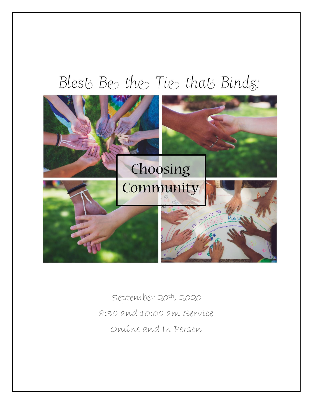# Blest Be the Tie that Binds:



September 20th, 2020 8:30 and 10:00 am Service Online and In Person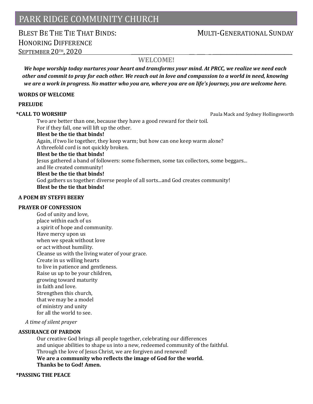### PARK RIDGE COMMUNITY CHURCH

### BLEST BE THE THE THAT BINDS: MULTI-GENERATIONAL SUNDAY HONORING DIFFERENCE SEPTEMBER 20TH, 2020

### **WELCOME!**

*We hope worship today nurtures your heart and transforms your mind. At PRCC, we realize we need each other and commit to pray for each other. We reach out in love and compassion to a world in need, knowing we are a work in progress. No matter who you are, where you are on life's journey, you are welcome here.*

#### **WORDS OF WELCOME**

### **PRELUDE**

\***CALL TO WORSHIP Paula Mack and Sydney Hollingsworth Paula Mack and Sydney Hollingsworth** 

Two are better than one, because they have a good reward for their toil. For if they fall, one will lift up the other. **Blest be the tie that binds!** Again, if two lie together, they keep warm; but how can one keep warm alone? A threefold cord is not quickly broken. **Blest be the tie that binds!** Jesus gathered a band of followers: some fishermen, some tax collectors, some beggars... and He created community! **Blest be the tie that binds!**

God gathers us together: diverse people of all sorts...and God creates community! **Blest be the tie that binds!**

### **A POEM BY STEFFI BEERY**

### **PRAYER OF CONFESSION**

God of unity and love, place within each of us a spirit of hope and community. Have mercy upon us when we speak without love or act without humility. Cleanse us with the living water of your grace. Create in us willing hearts to live in patience and gentleness. Raise us up to be your children, growing toward maturity in faith and love. Strengthen this church, that we may be a model of ministry and unity for all the world to see.

*A time of silent prayer*

### **ASSURANCE OF PARDON**

Our creative God brings all people together, celebrating our differences and unique abilities to shape us into a new, redeemed community of the faithful. Through the love of Jesus Christ, we are forgiven and renewed! **We are a community who reflects the image of God for the world. Thanks be to God! Amen.**

### **\*PASSING THE PEACE**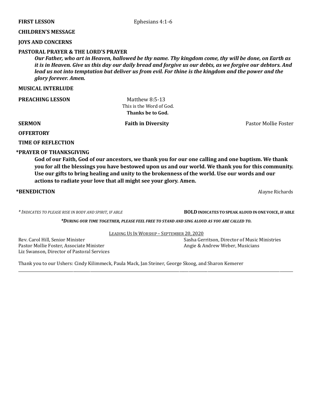### **CHILDREN'S MESSAGE**

### **JOYS AND CONCERNS**

### **PASTORAL PRAYER & THE LORD'S PRAYER**

*Our Father, who art in Heaven, hallowed be thy name. Thy kingdom come, thy will be done, on Earth as it is in Heaven. Give us this day our daily bread and forgive us our debts, as we forgive our debtors. And lead us not into temptation but deliver us from evil. For thine is the kingdom and the power and the glory forever. Amen.*

#### **MUSICAL INTERLUDE**

**PREACHING LESSON Matthew 8:5-13** 

 This is the Word of God.  **Thanks be to God.**

**SERMON** Faith in Diversity **Pastor Mollie Foster Pastor Mollie Foster** 

**OFFERTORY** 

**TIME OF REFLECTION** 

### **\*PRAYER OF THANKSGIVING**

**God of our Faith, God of our ancestors, we thank you for our one calling and one baptism. We thank you for all the blessings you have bestowed upon us and our world. We thank you for this community. Use our gifts to bring healing and unity to the brokenness of the world. Use our words and our actions to radiate your love that all might see your glory. Amen.**

**\*BENEDICTION** Alayne Richards

*\* INDICATES TO PLEASE RISE IN BODY AND SPIRIT, IF ABLE* **BOLD INDICATES TO SPEAK ALOUD IN ONE VOICE, IF ABLE**

*\*DURING OUR TIME TOGETHER, PLEASE FEEL FREE TO STAND AND SING ALOUD AS YOU ARE CALLED TO.*

LEADING US IN WORSHIP – SEPTEMBER 20, 2020

\_\_\_\_\_\_\_\_\_\_\_\_\_\_\_\_\_\_\_\_\_\_\_\_\_\_\_\_\_\_\_\_\_\_\_\_\_\_\_\_\_\_\_\_\_\_\_\_\_\_\_\_\_\_\_\_\_\_\_\_\_\_\_\_\_\_\_\_\_\_\_\_\_\_\_\_\_\_\_\_\_\_\_\_\_\_\_\_\_\_\_\_\_\_\_\_\_\_\_\_\_\_\_\_\_\_\_\_\_\_\_\_\_\_\_\_\_\_\_\_\_\_\_\_\_\_\_\_\_\_\_\_\_\_\_\_\_\_\_\_\_\_\_\_\_

Pastor Mollie Foster, Associate Minister Angle & Andrew Weber, Musicians Liz Swanson, Director of Pastoral Services

Rev. Carol Hill, Senior Minister Sasha Gerritson, Director of Music Ministries

Thank you to our Ushers: Cindy Kilimmeck, Paula Mack, Jan Steiner, George Skoog, and Sharon Kemerer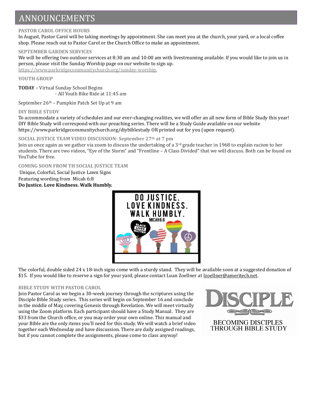## ANNOUNCEMENTS

### **PASTOR CAROL OFFICE HOURS**

In August, Pastor Carol will be taking meetings by appointment. She can meet you at the church, your yard, or a local coffee shop. Please reach out to Pastor Carol or the Church Office to make an appointment.

### **SEPTEMBER GARDEN SERVICES**

We will be offering two outdoor services at 8:30 am and 10:00 am with livestreaming available. If you would like to join us in person, please visit the Sunday Worship page on our website to sign up. [https://www.parkridgecommunitychurch.org/sunday-worship.](about:blank) 

**YOUTH GROUP**

**TODAY** – Virtual Sunday School Begins - All Youth Bike Ride at 11:45 am

September 26th – Pumpkin Patch Set Up at 9 am

### **DIY BIBLE STUDY**

To accommodate a variety of schedules and our ever-changing realities, we will offer an all new form of Bible Study this year! DIY Bible Study will correspond with our preaching series. There will be a Study Guide available on our website https://www.parkridgecommunitychurch.org/diybiblestudy OR printed out for you (upon request).

### **SOCIAL JUSTICE TEAM VIDEO DISCUSSION- September 27th at 7 pm**

Join us once again as we gather via zoom to discuss the undertaking of a 3<sup>rd</sup> grade teacher in 1968 to explain racism to her students. There are two videos, "Eye of the Storm" and "Frontline – A Class Divided" that we will discuss. Both can be found on YouTube for free.

**COMING SOON FROM TH SOCIAL JUSTICE TEAM** Unique, Colorful, Social Justice Lawn Signs Featuring wording from Micah 6:8

**Do Justice. Love Kindness. Walk Humbly.**



The colorful, double sided 24 x 18-inch signs come with a sturdy stand. They will be available soon at a suggested donation of \$15. If you would like to reserve a sign for your yard, please contact Luan Zoellner at [lzoellner@ameritech.net.](about:blank)

### **BIBLE STUDY WITH PASTOR CAROL**

Join Pastor Carol as we begin a 30-week journey through the scriptures using the Disciple Bible Study series. This series will begin on September 16 and conclude in the middle of May, covering Genesis through Revelation. We will meet virtually using the Zoom platform. Each participant should have a Study Manual. They are \$33 from the Church office, or you may order your own online. This manual and your Bible are the only items you'll need for this study. We will watch a brief video together each Wednesday and have discussion. There are daily assigned readings, but if you cannot complete the assignments, please come to class anyway!

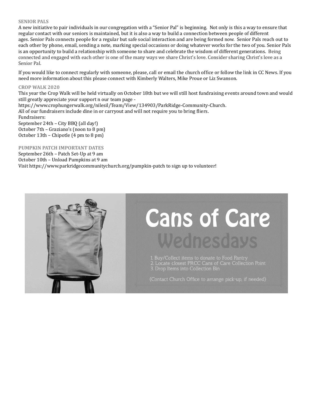#### **SENIOR PALS**

A new initiative to pair individuals in our congregation with a "Senior Pal" is beginning. Not only is this a way to ensure that regular contact with our seniors is maintained, but it is also a way to build a connection between people of different ages. Senior Pals connects people for a regular but safe social interaction and are being formed now. Senior Pals reach out to each other by phone, email, sending a note, marking special occasions or doing whatever works for the two of you. Senior Pals is an opportunity to build a relationship with someone to share and celebrate the wisdom of different generations. Being connected and engaged with each other is one of the many ways we share Christ's love. Consider sharing Christ's love as a Senior Pal.

If you would like to connect regularly with someone, please, call or email the church office or follow the link in CC News. If you need more information about this please connect with Kimberly Walters, Mike Proue or Liz Swanson.

#### **CROP WALK 2020**

This year the Crop Walk will be held virtually on October 18th but we will still host fundraising events around town and would still greatly appreciate your support n our team page -

https://www.crophungerwalk.org/nilesil/Team/View/134903/ParkRidge-Community-Church.

All of our fundraisers include dine in or carryout and will not require you to bring fliers. Fundraisers:

September 24th – City BBQ (all day!) October 7th – Graziano's (noon to 8 pm) October 13th – Chipotle (4 pm to 8 pm)

**PUMPKIN PATCH IMPORTANT DATES**

September 26th – Patch Set-Up at 9 am October 10th – Unload Pumpkins at 9 am Visit https://www.parkridgecommunitychurch.org/pumpkin-patch to sign up to volunteer!



# **Cans of Care** Wednesdays

1. Buy/Collect items to donate to Food Pantry<br>2. Locate closest PRCC Cans of Care Collection Point<br>3. Drop Items into Collection Bin

(Contact Church Office to arrange pick-up, if needed)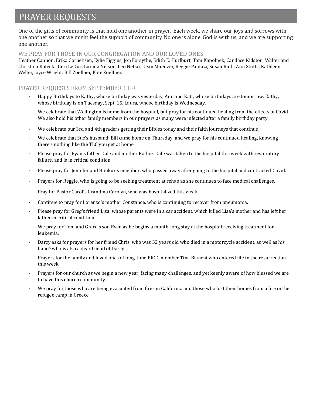### PRAYER REQUESTS

One of the gifts of community is that hold one another in prayer. Each week, we share our joys and sorrows with one another so that we might feel the support of community. No one is alone. God is with us, and we are supporting one another.

### WE PRAY FOR THOSE IN OUR CONGREGATION AND OUR LOVED ONES:

Heather Cannon, Erika Cornelisen, Kylie Figgins, Jon Forsythe, Edith E. Hurlburt, Tom Kapolnek, Candace Kidston, Walter and Christina Kotecki, Geri LeDuc, Lurana Nelson, Leo Netko, Dean Muenzer, Reggie Pantazi, Susan Ruth, Ann Stutts, Kathleen Weller, Joyce Wright, Bill Zoellner, Kate Zoellner.

### PRAYER REQUESTS FROM SEPTEMBER 13TH:

- Happy Birthdays to Kathy, whose birthday was yesterday, Ann and Kati, whose birthdays are tomorrow, Kathy, whose birthday is on Tuesday, Sept. 15, Laura, whose birthday is Wednesday.
- We celebrate that Wellington is home from the hospital, but pray for his continued healing from the effects of Covid. We also hold his other family members in our prayers as many were infected after a family birthday party.
- We celebrate our 3rd and 4th graders getting their Bibles today and their faith journeys that continue!
- We celebrate that Sue's husband, Bill came home on Thursday, and we pray for his continued healing, knowing there's nothing like the TLC you get at home.
- Please pray for Ryan's father Dale and mother Kathie. Dale was taken to the hospital this week with respiratory failure, and is in critical condition.
- Please pray for Jennifer and Haukur's neighbor, who passed away after going to the hospital and contracted Covid.
- Prayers for Reggie, who is going to be seeking treatment at rehab as she continues to face medical challenges.
- Pray for Pastor Carol's Grandma Carolyn, who was hospitalized this week.
- Continue to pray for Lorenzo's mother Constance, who is continuing to recover from pneumonia.
- Please pray for Greg's friend Lisa, whose parents were in a car accident, which killed Lisa's mother and has left her father in critical condition.
- We pray for Tom and Grace's son Evan as he begins a month-long stay at the hospital receiving treatment for leukemia.
- Darcy asks for prayers for her friend Chris, who was 32 years old who died in a motorcycle accident, as well as his fiancé who is also a dear friend of Darcy's.
- Prayers for the family and loved ones of long-time PRCC member Tina Bianchi who entered life in the resurrection this week.
- Prayers for our church as we begin a new year, facing many challenges, and yet keenly aware of how blessed we are to have this church community.
- We pray for those who are being evacuated from fires in California and those who lost their homes from a fire in the refugee camp in Greece.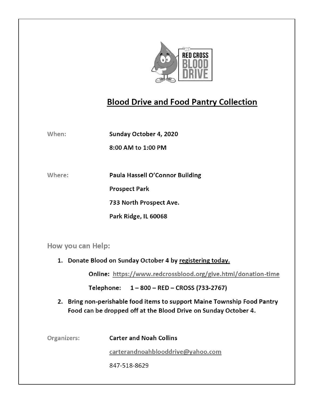

### **Blood Drive and Food Pantry Collection**

When: Sunday October 4, 2020

8:00 AM to 1:00 PM

Where:

Paula Hassell O'Connor Building

**Prospect Park** 

733 North Prospect Ave.

Park Ridge, IL 60068

How you can Help:

1. Donate Blood on Sunday October 4 by registering today.

Online: https://www.redcrossblood.org/give.html/donation-time

Telephone: 1-800 - RED - CROSS (733-2767)

2. Bring non-perishable food items to support Maine Township Food Pantry Food can be dropped off at the Blood Drive on Sunday October 4.

| Organizers: | <b>Carter and Noah Collins</b>    |
|-------------|-----------------------------------|
|             | carterandnoahblooddrive@yahoo.com |
|             | 847-518-8629                      |